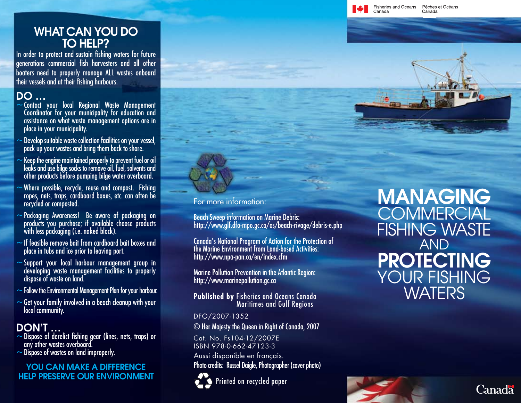## WHAT CAN YOU DO TO HELP?

In order to protect and sustain fishing waters for future generations commercial fish harvesters and all other boaters need to properly manage ALL wastes onboard their vessels and at their fishing harbours.

- DO … <sup>~</sup>Contact your local Regional Waste Management Coordinator for your municipality for education and assistance on what waste management options are in place in your municipality.
- $\sim$  Develop suitable waste collection facilities on your vessel, pack up your wastes and bring them back to shore.
- $\sim$  Keep the engine maintained properly to prevent fuel or oil leaks and use bilge socks to remove oil, fuel, solvents and other products before pumping bilge water overboard.
- $\sim$  Where possible, recycle, reuse and compost. Fishing ropes, nets, traps, cardboard boxes, etc. can often be recycled or composted.
- ~Packaging Awareness! Be aware of packaging on products you purchase; if available choose products with less packaging (i.e. naked block).
- $\sim$  If feasible remove bait from cardboard bait boxes and place in tubs and ice prior to leaving port.
- $\sim$  Support your local harbour management group in developing waste management facilities to properly dispose of waste on land.
- $\sim$  Follow the Environmental Management Plan for your harbour.
- $\sim$  Get your family involved in a beach cleanup with your local community.

- $\bf{DOM'T} \dots$ <br>~Dispose of derelict fishing gear (lines, nets, traps) or any other wastes overboard.
- $\sim$  Dispose of wastes on land improperly.

### YOU CAN MAKE A DIFFERENCE HELP PRESERVE OUR ENVIRONMENT



#### For more information:

Beach Sweep information on Marine Debris: http://www.glf.dfo-mpo.gc.ca/os/beach-rivage/debris-e.php

Canada's National Program of Action for the Protection of the Marine Environment from Land-based Activities: http://www.npa-pan.ca/en/index.cfm

Marine Pollution Prevention in the Atlantic Region: http://www.marinepollution.gc.ca

**Published by** Fisheries and Oceans Canada Maritimes and Gulf Regions

### DFO/2007-1352

© Her Majesty the Queen in Right of Canada, 2007

Cat. No. Fs104-12/2007E ISBN 978-0-662-47123-3

Aussi disponible en français. Photo credits: Russel Daigle, Photographer (cover photo)



Printed on recycled paper

MANAGING **COMMERCIAL** FISHING WASTE AND PROTECTING YOUR FISHING **WATERS** 

Canada

Fisheries and Oceans

Canada

Pêches et Océans

Canada